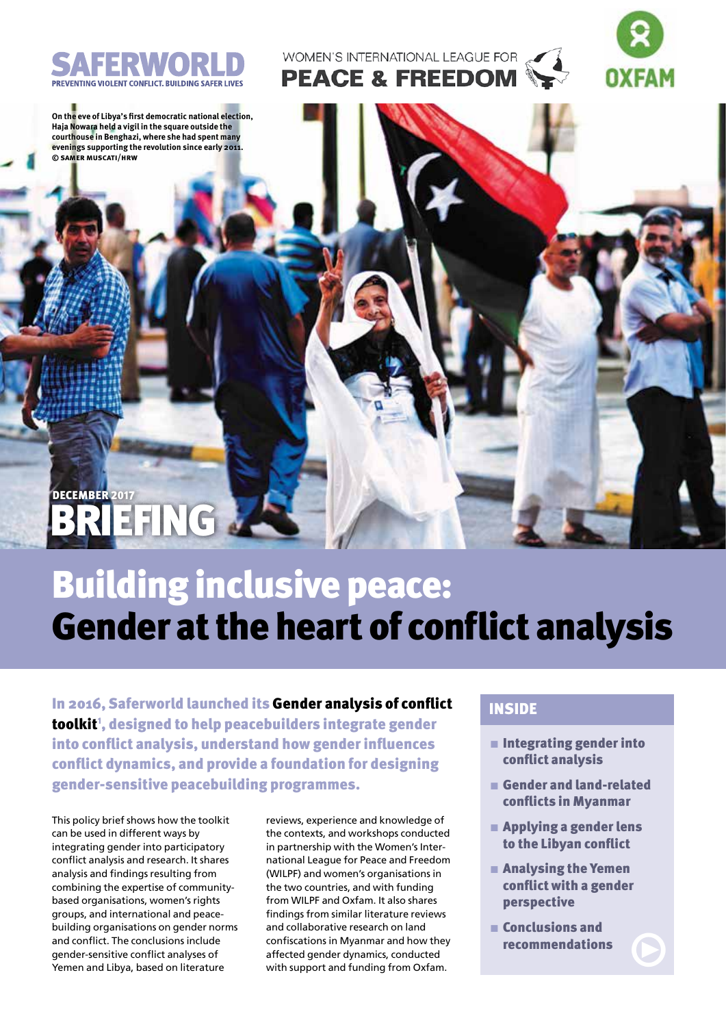

WOMEN'S INTERNATIONAL LEAGUE FOR **PEACE & FREEDOM** 



**On the eve of Libya's first democratic national election, Haja Nowara held a vigil in the square outside the courthouse in Benghazi, where she had spent many evenings supporting the revolution since early 2011. © samer muscati/hrw**

## BRIEFING X december 2017

## Building inclusive peace: Gender at the heart of conflict analysis

In 2016, Saferworld launched its Gender analysis of conflict toolkit', designed to help peacebuilders integrate gender into conflict analysis, understand how gender influences conflict dynamics, and provide a foundation for designing gender-sensitive peacebuilding programmes.

This policy brief shows how the toolkit can be used in different ways by integrating gender into participatory conflict analysis and research. It shares analysis and findings resulting from combining the expertise of communitybased organisations, women's rights groups, and international and peacebuilding organisations on gender norms and conflict. The conclusions include gender-sensitive conflict analyses of Yemen and Libya, based on literature

reviews, experience and knowledge of the contexts, and workshops conducted in partnership with the Women's International League for Peace and Freedom (WILPF) and women's organisations in the two countries, and with funding from WILPF and Oxfam. It also shares findings from similar literature reviews and collaborative research on land confiscations in Myanmar and how they affected gender dynamics, conducted with support and funding from Oxfam.

## INSIDE

- $\blacksquare$  Integrating gender into conflict analysis
- $\blacksquare$  Gender and land-related conflicts in Myanmar
- $\blacksquare$  Applying a gender lens to the Libyan conflict
- $\blacksquare$  Analysing the Yemen conflict with a gender perspective
- $\blacksquare$  Conclusions and recommendations

 $\bigcirc$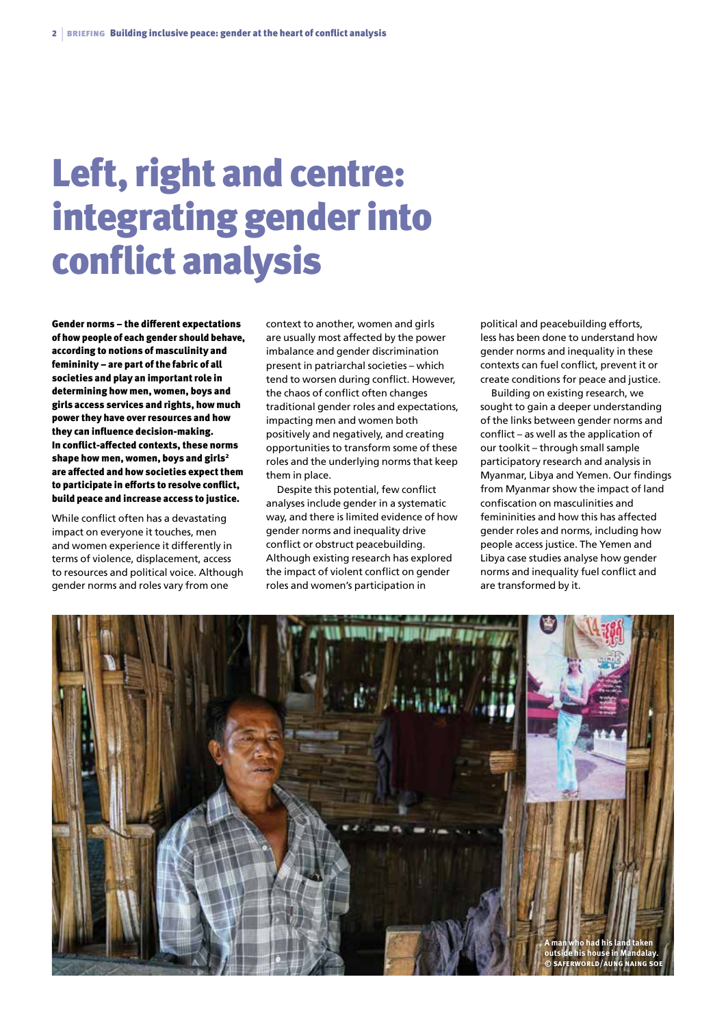# Left, right and centre: integrating gender into conflict analysis

Gender norms – the different expectations of how people of each gender should behave, according to notions of masculinity and femininity – are part of the fabric of all societies and play an important role in determining how men, women, boys and girls access services and rights, how much power they have over resources and how they can influence decision-making. In conflict-affected contexts, these norms shape how men, women, boys and girls<sup>2</sup> are affected and how societies expect them to participate in efforts to resolve conflict, build peace and increase access to justice.

While conflict often has a devastating impact on everyone it touches, men and women experience it differently in terms of violence, displacement, access to resources and political voice. Although gender norms and roles vary from one

context to another, women and girls are usually most affected by the power imbalance and gender discrimination present in patriarchal societies – which tend to worsen during conflict. However, the chaos of conflict often changes traditional gender roles and expectations, impacting men and women both positively and negatively, and creating opportunities to transform some of these roles and the underlying norms that keep them in place.

Despite this potential, few conflict analyses include gender in a systematic way, and there is limited evidence of how gender norms and inequality drive conflict or obstruct peacebuilding. Although existing research has explored the impact of violent conflict on gender roles and women's participation in

political and peacebuilding efforts, less has been done to understand how gender norms and inequality in these contexts can fuel conflict, prevent it or create conditions for peace and justice.

Building on existing research, we sought to gain a deeper understanding of the links between gender norms and conflict – as well as the application of our toolkit – through small sample participatory research and analysis in Myanmar, Libya and Yemen. Our findings from Myanmar show the impact of land confiscation on masculinities and femininities and how this has affected gender roles and norms, including how people access justice. The Yemen and Libya case studies analyse how gender norms and inequality fuel conflict and are transformed by it.

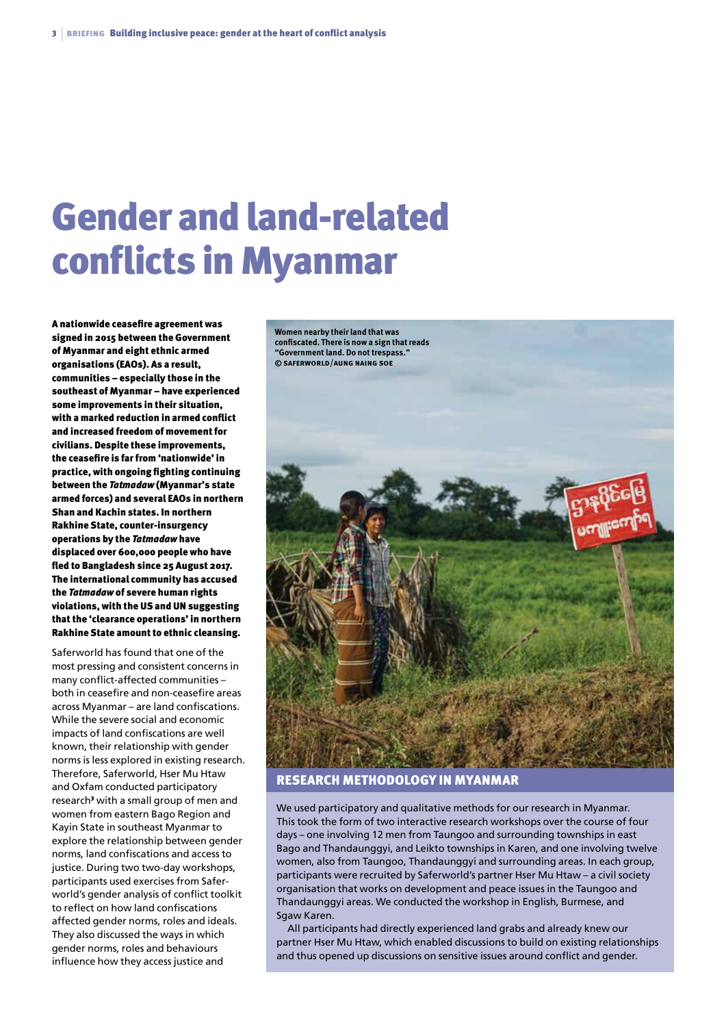## Gender and land-related conflicts in Myanmar

A nationwide ceasefire agreement was signed in 2015 between the Government of Myanmar and eight ethnic armed organisations (EAOs). As a result, communities – especially those in the southeast of Myanmar – have experienced some improvements in their situation, with a marked reduction in armed conflict and increased freedom of movement for civilians. Despite these improvements, the ceasefire is far from 'nationwide' in practice, with ongoing fighting continuing between the *Tatmadaw* (Myanmar's state armed forces) and several EAOs in northern Shan and Kachin states. In northern Rakhine State, counter-insurgency operations by the *Tatmadaw* have displaced over 600,000 people who have fled to Bangladesh since 25 August 2017. The international community has accused the *Tatmadaw* of severe human rights violations, with the US and UN suggesting that the 'clearance operations' in northern Rakhine State amount to ethnic cleansing.

Saferworld has found that one of the most pressing and consistent concerns in many conflict-affected communities – both in ceasefire and non-ceasefire areas across Myanmar – are land confiscations. While the severe social and economic impacts of land confiscations are well known, their relationship with gender norms is less explored in existing research. Therefore, Saferworld, Hser Mu Htaw and Oxfam conducted participatory research<sup>3</sup> with a small group of men and women from eastern Bago Region and Kayin State in southeast Myanmar to explore the relationship between gender norms, land confiscations and access to justice. During two two-day workshops, participants used exercises from Saferworld's gender analysis of conflict toolkit to reflect on how land confiscations affected gender norms, roles and ideals. They also discussed the ways in which gender norms, roles and behaviours influence how they access justice and

**Women nearby their land that was confiscated. There is now a sign that reads "Government land. Do not trespass."**



Research methodology in Myanmar

We used participatory and qualitative methods for our research in Myanmar. This took the form of two interactive research workshops over the course of four days – one involving 12 men from Taungoo and surrounding townships in east Bago and Thandaunggyi, and Leikto townships in Karen, and one involving twelve women, also from Taungoo, Thandaunggyi and surrounding areas. In each group, participants were recruited by Saferworld's partner Hser Mu Htaw – a civil society organisation that works on development and peace issues in the Taungoo and Thandaunggyi areas. We conducted the workshop in English, Burmese, and Sgaw Karen.

All participants had directly experienced land grabs and already knew our partner Hser Mu Htaw, which enabled discussions to build on existing relationships and thus opened up discussions on sensitive issues around conflict and gender.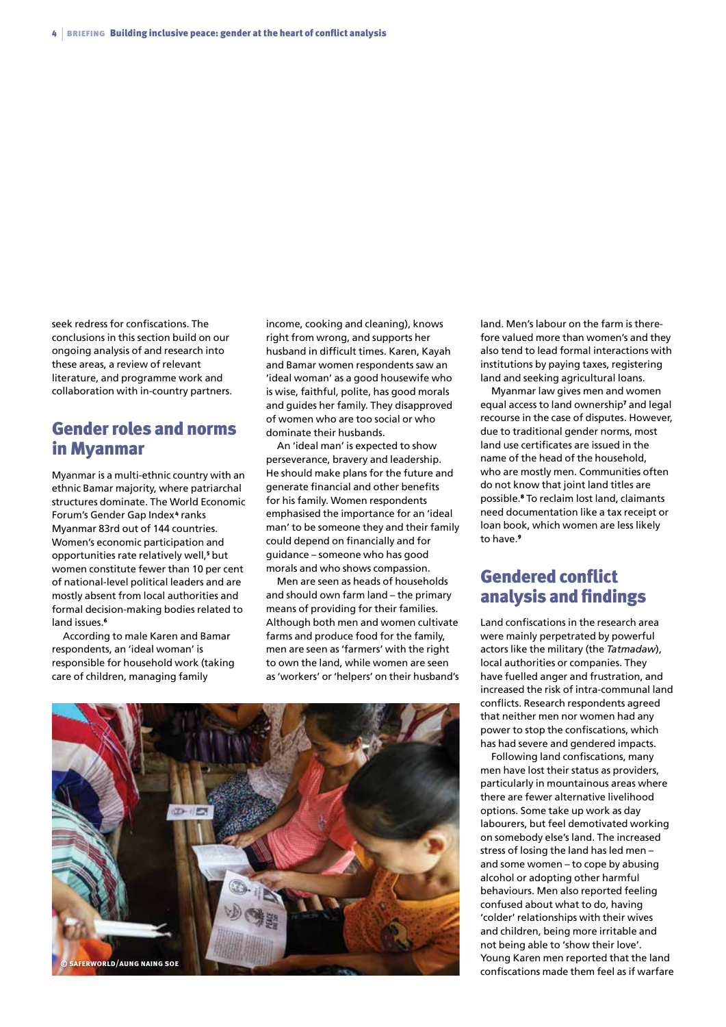seek redress for confiscations. The conclusions in this section build on our ongoing analysis of and research into these areas, a review of relevant literature, and programme work and collaboration with in-country partners.

### Gender roles and norms in Myanmar

Myanmar is a multi-ethnic country with an ethnic Bamar majority, where patriarchal structures dominate. The World Economic Forum's Gender Gap Index <sup>4</sup> ranks Myanmar 83rd out of 144 countries. Women's economic participation and opportunities rate relatively well,<sup>5</sup> but women constitute fewer than 10 per cent of national-level political leaders and are mostly absent from local authorities and formal decision-making bodies related to land issues.<sup>6</sup>

According to male Karen and Bamar respondents, an 'ideal woman' is responsible for household work (taking care of children, managing family

income, cooking and cleaning), knows right from wrong, and supports her husband in difficult times. Karen, Kayah and Bamar women respondents saw an 'ideal woman' as a good housewife who is wise, faithful, polite, has good morals and guides her family. They disapproved of women who are too social or who dominate their husbands.

An 'ideal man' is expected to show perseverance, bravery and leadership. He should make plans for the future and generate financial and other benefits for his family. Women respondents emphasised the importance for an 'ideal man' to be someone they and their family could depend on financially and for guidance – someone who has good morals and who shows compassion.

Men are seen as heads of households and should own farm land – the primary means of providing for their families. Although both men and women cultivate farms and produce food for the family, men are seen as 'farmers' with the right to own the land, while women are seen as 'workers' or 'helpers' on their husband's



land. Men's labour on the farm is therefore valued more than women's and they also tend to lead formal interactions with institutions by paying taxes, registering land and seeking agricultural loans.

Myanmar law gives men and women equal access to land ownership<sup>7</sup> and legal recourse in the case of disputes. However, due to traditional gender norms, most land use certificates are issued in the name of the head of the household, who are mostly men. Communities often do not know that joint land titles are possible.8 To reclaim lost land, claimants need documentation like a tax receipt or loan book, which women are less likely to have 9

### Gendered conflict analysis and findings

Land confiscations in the research area were mainly perpetrated by powerful actors like the military (the *Tatmadaw*), local authorities or companies. They have fuelled anger and frustration, and increased the risk of intra-communal land conflicts. Research respondents agreed that neither men nor women had any power to stop the confiscations, which has had severe and gendered impacts.

Following land confiscations, many men have lost their status as providers, particularly in mountainous areas where there are fewer alternative livelihood options. Some take up work as day labourers, but feel demotivated working on somebody else's land. The increased stress of losing the land has led men – and some women – to cope by abusing alcohol or adopting other harmful behaviours. Men also reported feeling confused about what to do, having 'colder' relationships with their wives and children, being more irritable and not being able to 'show their love'. Young Karen men reported that the land confiscations made them feel as if warfare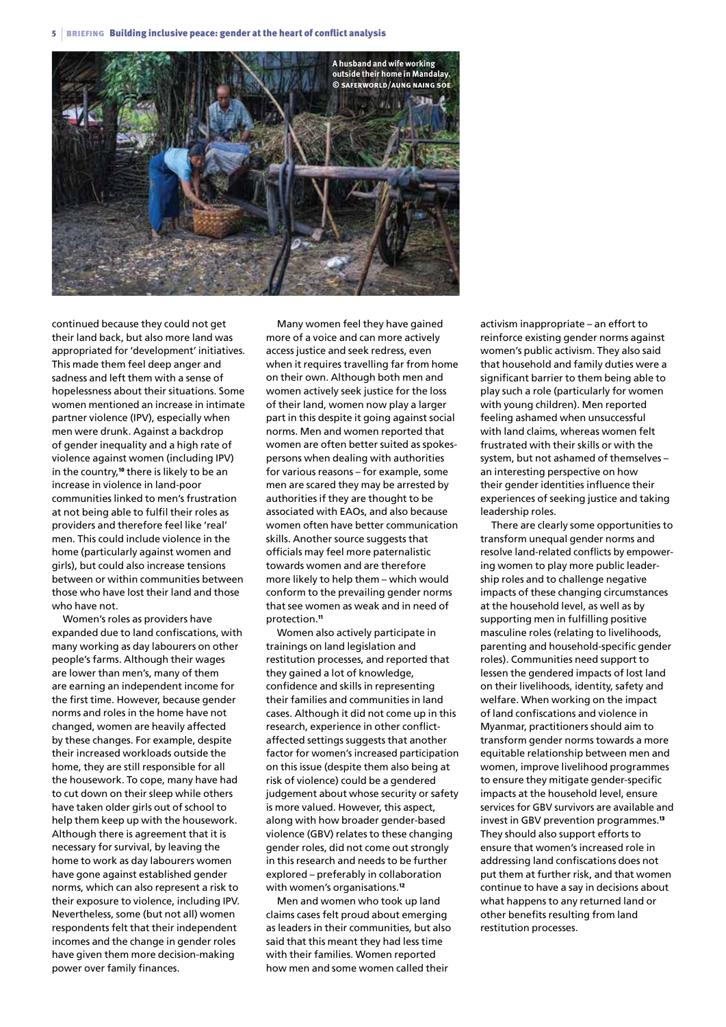<sup>5</sup> | briefing Building inclusive peace: gender at the heart of conflict analysis



continued because they could not get their land back, but also more land was appropriated for 'development' initiatives. This made them feel deep anger and sadness and left them with a sense of hopelessness about their situations. Some women mentioned an increase in intimate partner violence (IPV), especially when men were drunk. Against a backdrop of gender inequality and a high rate of violence against women (including IPV) in the country,<sup>10</sup> there is likely to be an increase in violence in land-poor communities linked to men's frustration at not being able to fulfil their roles as providers and therefore feel like 'real' men. This could include violence in the home (particularly against women and girls), but could also increase tensions between or within communities between those who have lost their land and those who have not.

Women's roles as providers have expanded due to land confiscations, with many working as day labourers on other people's farms. Although their wages are lower than men's, many of them are earning an independent income for the first time. However, because gender norms and roles in the home have not changed, women are heavily affected by these changes. For example, despite their increased workloads outside the home, they are still responsible for all the housework. To cope, many have had to cut down on their sleep while others have taken older girls out of school to help them keep up with the housework. Although there is agreement that it is necessary for survival, by leaving the home to work as day labourers women have gone against established gender norms, which can also represent a risk to their exposure to violence, including IPV. Nevertheless, some (but not all) women respondents felt that their independent incomes and the change in gender roles have given them more decision-making power over family finances.

Many women feel they have gained more of a voice and can more actively access justice and seek redress, even when it requires travelling far from home on their own. Although both men and women actively seek justice for the loss of their land, women now play a larger part in this despite it going against social norms. Men and women reported that women are often better suited as spokespersons when dealing with authorities for various reasons – for example, some men are scared they may be arrested by authorities if they are thought to be associated with EAOs, and also because women often have better communication skills. Another source suggests that officials may feel more paternalistic towards women and are therefore more likely to help them – which would conform to the prevailing gender norms that see women as weak and in need of protection.<sup>11</sup>

Women also actively participate in trainings on land legislation and restitution processes, and reported that they gained a lot of knowledge, confidence and skills in representing their families and communities in land cases. Although it did not come up in this research, experience in other conflictaffected settings suggests that another factor for women's increased participation on this issue (despite them also being at risk of violence) could be a gendered judgement about whose security or safety is more valued. However, this aspect, along with how broader gender-based violence (GBV) relates to these changing gender roles, did not come out strongly in this research and needs to be further explored – preferably in collaboration with women's organisations.<sup>12</sup>

Men and women who took up land claims cases felt proud about emerging as leaders in their communities, but also said that this meant they had less time with their families. Women reported how men and some women called their

activism inappropriate – an effort to reinforce existing gender norms against women's public activism. They also said that household and family duties were a significant barrier to them being able to play such a role (particularly for women with young children). Men reported feeling ashamed when unsuccessful with land claims, whereas women felt frustrated with their skills or with the system, but not ashamed of themselves – an interesting perspective on how their gender identities influence their experiences of seeking justice and taking leadership roles.

There are clearly some opportunities to transform unequal gender norms and resolve land-related conflicts by empowering women to play more public leadership roles and to challenge negative impacts of these changing circumstances at the household level, as well as by supporting men in fulfilling positive masculine roles (relating to livelihoods, parenting and household-specific gender roles). Communities need support to lessen the gendered impacts of lost land on their livelihoods, identity, safety and welfare. When working on the impact of land confiscations and violence in Myanmar, practitioners should aim to transform gender norms towards a more equitable relationship between men and women, improve livelihood programmes to ensure they mitigate gender-specific impacts at the household level, ensure services for GBV survivors are available and invest in GBV prevention programmes.<sup>13</sup> They should also support efforts to ensure that women's increased role in addressing land confiscations does not put them at further risk, and that women continue to have a say in decisions about what happens to any returned land or other benefits resulting from land restitution processes.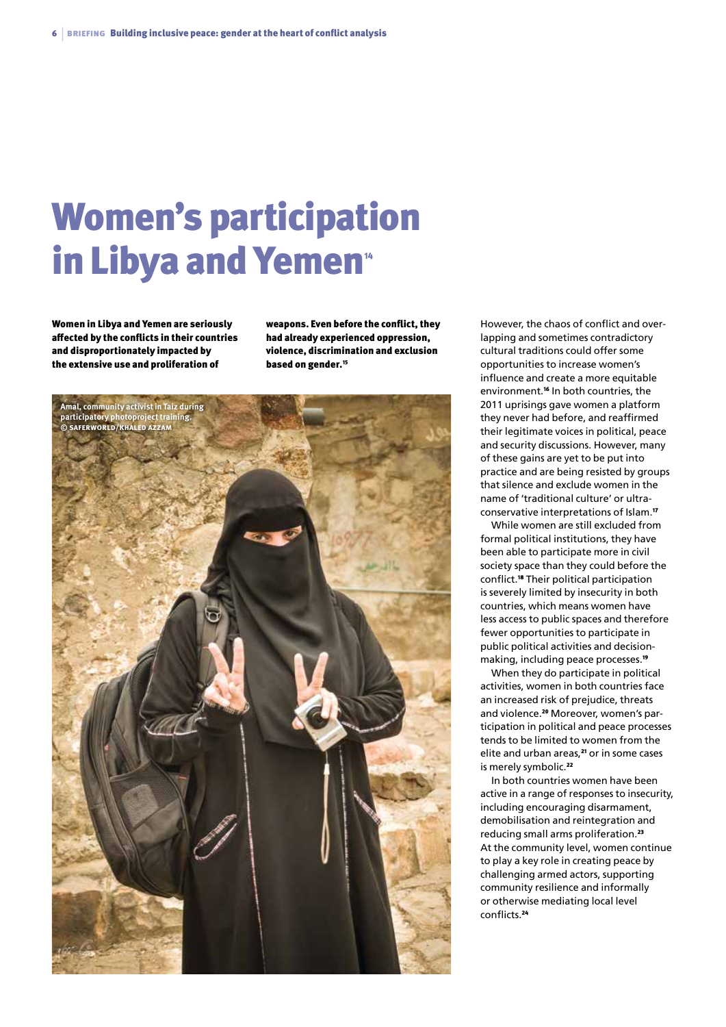## Women's participation in Libya and Yemen<sup>\*</sup>

Women in Libya and Yemen are seriously affected by the conflicts in their countries and disproportionately impacted by the extensive use and proliferation of

weapons. Even before the conflict, they had already experienced oppression, violence, discrimination and exclusion based on gender.<sup>15</sup>



However, the chaos of conflict and overlapping and sometimes contradictory cultural traditions could offer some opportunities to increase women's influence and create a more equitable environment.16 In both countries, the 2011 uprisings gave women a platform they never had before, and reaffirmed their legitimate voices in political, peace and security discussions. However, many of these gains are yet to be put into practice and are being resisted by groups that silence and exclude women in the name of 'traditional culture' or ultraconservative interpretations of Islam.<sup>17</sup>

While women are still excluded from formal political institutions, they have been able to participate more in civil society space than they could before the conflict.18 Their political participation is severely limited by insecurity in both countries, which means women have less access to public spaces and therefore fewer opportunities to participate in public political activities and decisionmaking, including peace processes.<sup>19</sup>

When they do participate in political activities, women in both countries face an increased risk of prejudice, threats and violence.<sup>20</sup> Moreover, women's participation in political and peace processes tends to be limited to women from the elite and urban areas,<sup>21</sup> or in some cases is merely symbolic.<sup>22</sup>

In both countries women have been active in a range of responses to insecurity, including encouraging disarmament, demobilisation and reintegration and reducing small arms proliferation.<sup>23</sup> At the community level, women continue to play a key role in creating peace by challenging armed actors, supporting community resilience and informally or otherwise mediating local level conflicts.<sup>24</sup>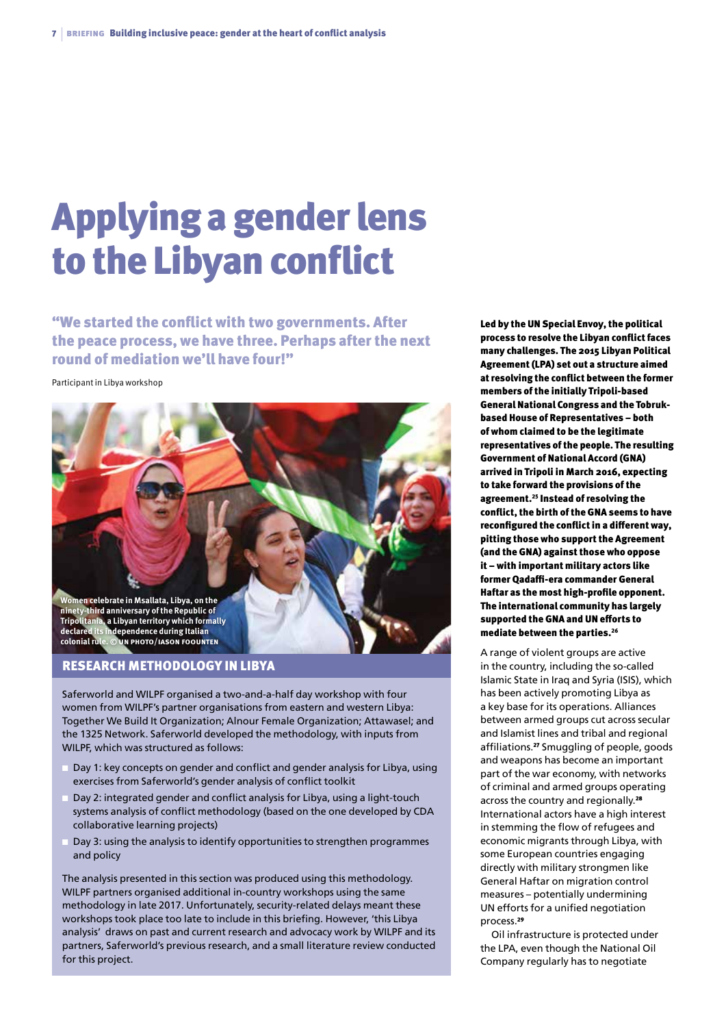# Applying a gender lens to the Libyan conflict

"We started the conflict with two governments. After the peace process, we have three. Perhaps after the next round of mediation we'll have four!"

#### Participant in Libya workshop



Research methodology in Libya

Saferworld and WILPF organised a two-and-a-half day workshop with four women from WILPF's partner organisations from eastern and western Libya: Together We Build It Organization; Alnour Female Organization; Attawasel; and the 1325 Network. Saferworld developed the methodology, with inputs from WILPF, which was structured as follows:

- Day 1: key concepts on gender and conflict and gender analysis for Libya, using exercises from Saferworld's gender analysis of conflict toolkit
- Day 2: integrated gender and conflict analysis for Libya, using a light-touch systems analysis of conflict methodology (based on the one developed by CDA collaborative learning projects)
- Day 3: using the analysis to identify opportunities to strengthen programmes and policy

The analysis presented in this section was produced using this methodology. WILPF partners organised additional in-country workshops using the same methodology in late 2017. Unfortunately, security-related delays meant these workshops took place too late to include in this briefing. However, 'this Libya analysis' draws on past and current research and advocacy work by WILPF and its partners, Saferworld's previous research, and a small literature review conducted for this project.

Led by the UN Special Envoy, the political process to resolve the Libyan conflict faces many challenges. The 2015 Libyan Political Agreement (LPA) set out a structure aimed at resolving the conflict between the former members of the initially Tripoli-based General National Congress and the Tobrukbased House of Representatives – both of whom claimed to be the legitimate representatives of the people. The resulting Government of National Accord (GNA) arrived in Tripoli in March 2016, expecting to take forward the provisions of the agreement.25 Instead of resolving the conflict, the birth of the GNA seems to have reconfigured the conflict in a different way, pitting those who support the Agreement (and the GNA) against those who oppose it – with important military actors like former Qadaffi-era commander General Haftar as the most high-profile opponent. The international community has largely supported the GNA and UN efforts to mediate between the parties.<sup>26</sup>

A range of violent groups are active in the country, including the so-called Islamic State in Iraq and Syria (ISIS), which has been actively promoting Libya as a key base for its operations. Alliances between armed groups cut across secular and Islamist lines and tribal and regional affiliations.27 Smuggling of people, goods and weapons has become an important part of the war economy, with networks of criminal and armed groups operating across the country and regionally.<sup>28</sup> International actors have a high interest in stemming the flow of refugees and economic migrants through Libya, with some European countries engaging directly with military strongmen like General Haftar on migration control measures – potentially undermining UN efforts for a unified negotiation process<sup>29</sup>

Oil infrastructure is protected under the LPA, even though the National Oil Company regularly has to negotiate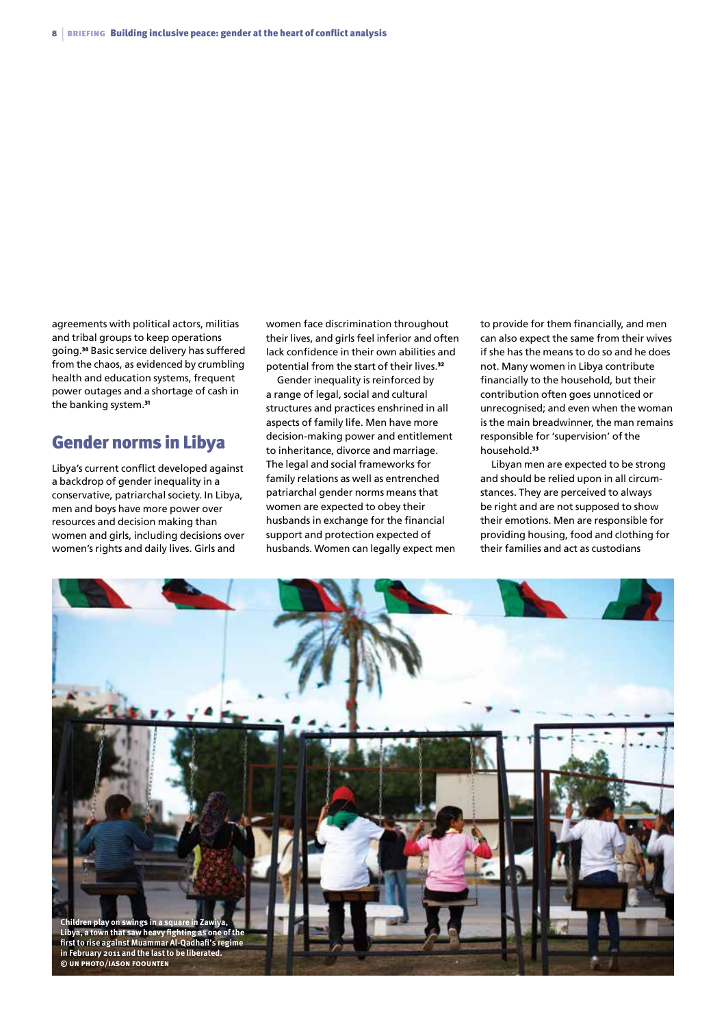agreements with political actors, militias and tribal groups to keep operations going.30 Basic service delivery has suffered from the chaos, as evidenced by crumbling health and education systems, frequent power outages and a shortage of cash in the banking system.<sup>31</sup>

### Gender norms in Libya

Libya's current conflict developed against a backdrop of gender inequality in a conservative, patriarchal society. In Libya, men and boys have more power over resources and decision making than women and girls, including decisions over women's rights and daily lives. Girls and

women face discrimination throughout their lives, and girls feel inferior and often lack confidence in their own abilities and potential from the start of their lives.<sup>32</sup>

Gender inequality is reinforced by a range of legal, social and cultural structures and practices enshrined in all aspects of family life. Men have more decision-making power and entitlement to inheritance, divorce and marriage. The legal and social frameworks for family relations as well as entrenched patriarchal gender norms means that women are expected to obey their husbands in exchange for the financial support and protection expected of husbands. Women can legally expect men to provide for them financially, and men can also expect the same from their wives if she has the means to do so and he does not. Many women in Libya contribute financially to the household, but their contribution often goes unnoticed or unrecognised; and even when the woman is the main breadwinner, the man remains responsible for 'supervision' of the household.<sup>33</sup>

Libyan men are expected to be strong and should be relied upon in all circumstances. They are perceived to always be right and are not supposed to show their emotions. Men are responsible for providing housing, food and clothing for their families and act as custodians

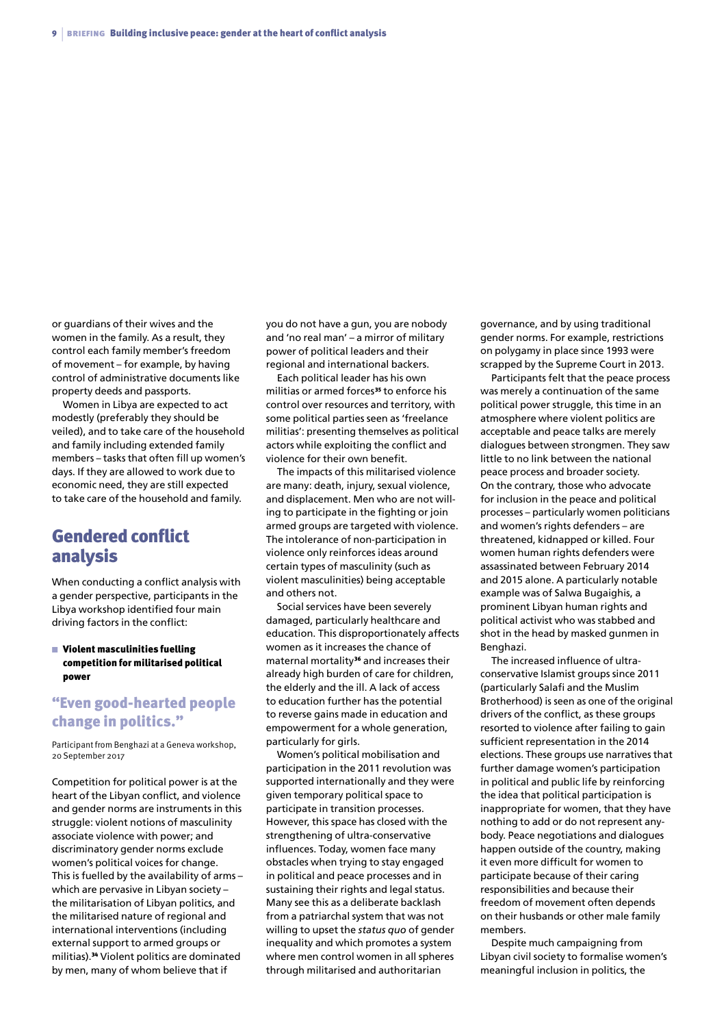or guardians of their wives and the women in the family. As a result, they control each family member's freedom of movement – for example, by having control of administrative documents like property deeds and passports.

Women in Libya are expected to act modestly (preferably they should be veiled), and to take care of the household and family including extended family members – tasks that often fill up women's days. If they are allowed to work due to economic need, they are still expected to take care of the household and family.

## Gendered conflict analysis

When conducting a conflict analysis with a gender perspective, participants in the Libya workshop identified four main driving factors in the conflict:

#### $\blacksquare$  Violent masculinities fuelling competition for militarised political power

### "Even good-hearted people change in politics."

Participant from Benghazi at a Geneva workshop, 20 September 2017

Competition for political power is at the heart of the Libyan conflict, and violence and gender norms are instruments in this struggle: violent notions of masculinity associate violence with power; and discriminatory gender norms exclude women's political voices for change. This is fuelled by the availability of arms – which are pervasive in Libyan society – the militarisation of Libyan politics, and the militarised nature of regional and international interventions (including external support to armed groups or militias).34 Violent politics are dominated by men, many of whom believe that if

you do not have a gun, you are nobody and 'no real man' – a mirror of military power of political leaders and their regional and international backers.

Each political leader has his own militias or armed forces<sup>35</sup> to enforce his control over resources and territory, with some political parties seen as 'freelance militias': presenting themselves as political actors while exploiting the conflict and violence for their own benefit.

The impacts of this militarised violence are many: death, injury, sexual violence, and displacement. Men who are not willing to participate in the fighting or join armed groups are targeted with violence. The intolerance of non-participation in violence only reinforces ideas around certain types of masculinity (such as violent masculinities) being acceptable and others not.

Social services have been severely damaged, particularly healthcare and education. This disproportionately affects women as it increases the chance of maternal mortality<sup>36</sup> and increases their already high burden of care for children, the elderly and the ill. A lack of access to education further has the potential to reverse gains made in education and empowerment for a whole generation, particularly for girls.

Women's political mobilisation and participation in the 2011 revolution was supported internationally and they were given temporary political space to participate in transition processes. However, this space has closed with the strengthening of ultra-conservative influences. Today, women face many obstacles when trying to stay engaged in political and peace processes and in sustaining their rights and legal status. Many see this as a deliberate backlash from a patriarchal system that was not willing to upset the *status quo* of gender inequality and which promotes a system where men control women in all spheres through militarised and authoritarian

governance, and by using traditional gender norms. For example, restrictions on polygamy in place since 1993 were scrapped by the Supreme Court in 2013.

Participants felt that the peace process was merely a continuation of the same political power struggle, this time in an atmosphere where violent politics are acceptable and peace talks are merely dialogues between strongmen. They saw little to no link between the national peace process and broader society. On the contrary, those who advocate for inclusion in the peace and political processes – particularly women politicians and women's rights defenders – are threatened, kidnapped or killed. Four women human rights defenders were assassinated between February 2014 and 2015 alone. A particularly notable example was of Salwa Bugaighis, a prominent Libyan human rights and political activist who was stabbed and shot in the head by masked gunmen in Benghazi.

The increased influence of ultraconservative Islamist groups since 2011 (particularly Salafi and the Muslim Brotherhood) is seen as one of the original drivers of the conflict, as these groups resorted to violence after failing to gain sufficient representation in the 2014 elections. These groups use narratives that further damage women's participation in political and public life by reinforcing the idea that political participation is inappropriate for women, that they have nothing to add or do not represent anybody. Peace negotiations and dialogues happen outside of the country, making it even more difficult for women to participate because of their caring responsibilities and because their freedom of movement often depends on their husbands or other male family members.

Despite much campaigning from Libyan civil society to formalise women's meaningful inclusion in politics, the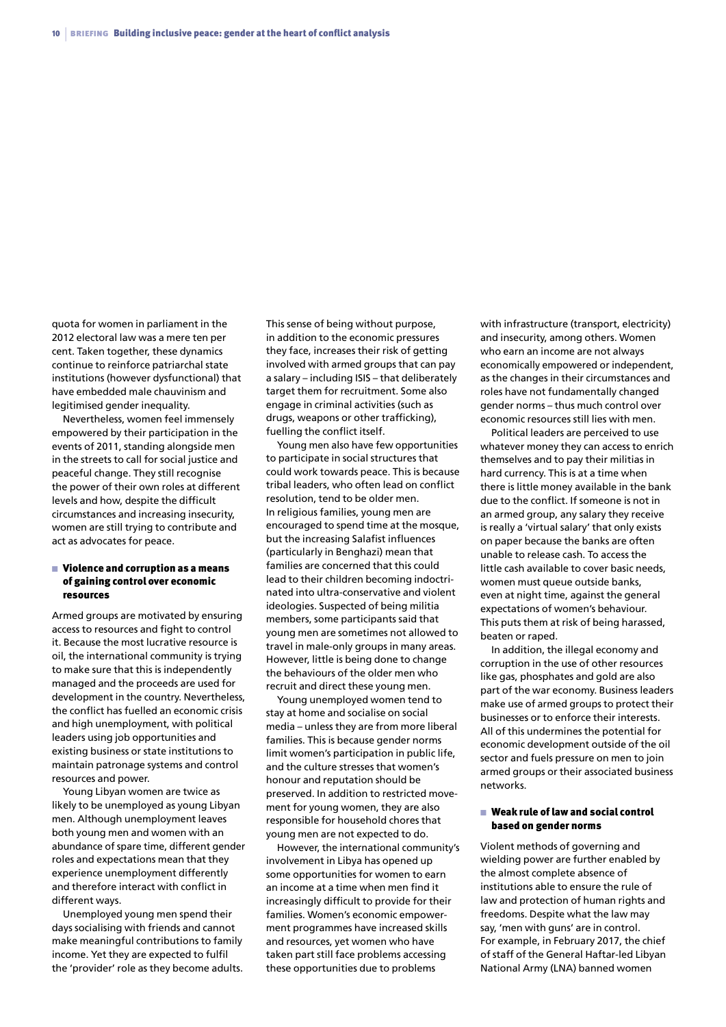quota for women in parliament in the 2012 electoral law was a mere ten per cent. Taken together, these dynamics continue to reinforce patriarchal state institutions (however dysfunctional) that have embedded male chauvinism and legitimised gender inequality.

Nevertheless, women feel immensely empowered by their participation in the events of 2011, standing alongside men in the streets to call for social justice and peaceful change. They still recognise the power of their own roles at different levels and how, despite the difficult circumstances and increasing insecurity, women are still trying to contribute and act as advocates for peace.

#### $\blacksquare$  Violence and corruption as a means of gaining control over economic resources

Armed groups are motivated by ensuring access to resources and fight to control it. Because the most lucrative resource is oil, the international community is trying to make sure that this is independently managed and the proceeds are used for development in the country. Nevertheless, the conflict has fuelled an economic crisis and high unemployment, with political leaders using job opportunities and existing business or state institutions to maintain patronage systems and control resources and power.

Young Libyan women are twice as likely to be unemployed as young Libyan men. Although unemployment leaves both young men and women with an abundance of spare time, different gender roles and expectations mean that they experience unemployment differently and therefore interact with conflict in different ways.

Unemployed young men spend their days socialising with friends and cannot make meaningful contributions to family income. Yet they are expected to fulfil the 'provider' role as they become adults. This sense of being without purpose, in addition to the economic pressures they face, increases their risk of getting involved with armed groups that can pay a salary – including ISIS – that deliberately target them for recruitment. Some also engage in criminal activities (such as drugs, weapons or other trafficking), fuelling the conflict itself.

Young men also have few opportunities to participate in social structures that could work towards peace. This is because tribal leaders, who often lead on conflict resolution, tend to be older men. In religious families, young men are encouraged to spend time at the mosque, but the increasing Salafist influences (particularly in Benghazi) mean that families are concerned that this could lead to their children becoming indoctrinated into ultra-conservative and violent ideologies. Suspected of being militia members, some participants said that young men are sometimes not allowed to travel in male-only groups in many areas. However, little is being done to change the behaviours of the older men who recruit and direct these young men.

Young unemployed women tend to stay at home and socialise on social media – unless they are from more liberal families. This is because gender norms limit women's participation in public life, and the culture stresses that women's honour and reputation should be preserved. In addition to restricted movement for young women, they are also responsible for household chores that young men are not expected to do.

However, the international community's involvement in Libya has opened up some opportunities for women to earn an income at a time when men find it increasingly difficult to provide for their families. Women's economic empowerment programmes have increased skills and resources, yet women who have taken part still face problems accessing these opportunities due to problems

with infrastructure (transport, electricity) and insecurity, among others. Women who earn an income are not always economically empowered or independent, as the changes in their circumstances and roles have not fundamentally changed gender norms – thus much control over economic resources still lies with men.

Political leaders are perceived to use whatever money they can access to enrich themselves and to pay their militias in hard currency. This is at a time when there is little money available in the bank due to the conflict. If someone is not in an armed group, any salary they receive is really a 'virtual salary' that only exists on paper because the banks are often unable to release cash. To access the little cash available to cover basic needs, women must queue outside banks, even at night time, against the general expectations of women's behaviour. This puts them at risk of being harassed, beaten or raped.

In addition, the illegal economy and corruption in the use of other resources like gas, phosphates and gold are also part of the war economy. Business leaders make use of armed groups to protect their businesses or to enforce their interests. All of this undermines the potential for economic development outside of the oil sector and fuels pressure on men to join armed groups or their associated business networks.

#### $\blacksquare$  Weak rule of law and social control based on gender norms

Violent methods of governing and wielding power are further enabled by the almost complete absence of institutions able to ensure the rule of law and protection of human rights and freedoms. Despite what the law may say, 'men with guns' are in control. For example, in February 2017, the chief of staff of the General Haftar-led Libyan National Army (LNA) banned women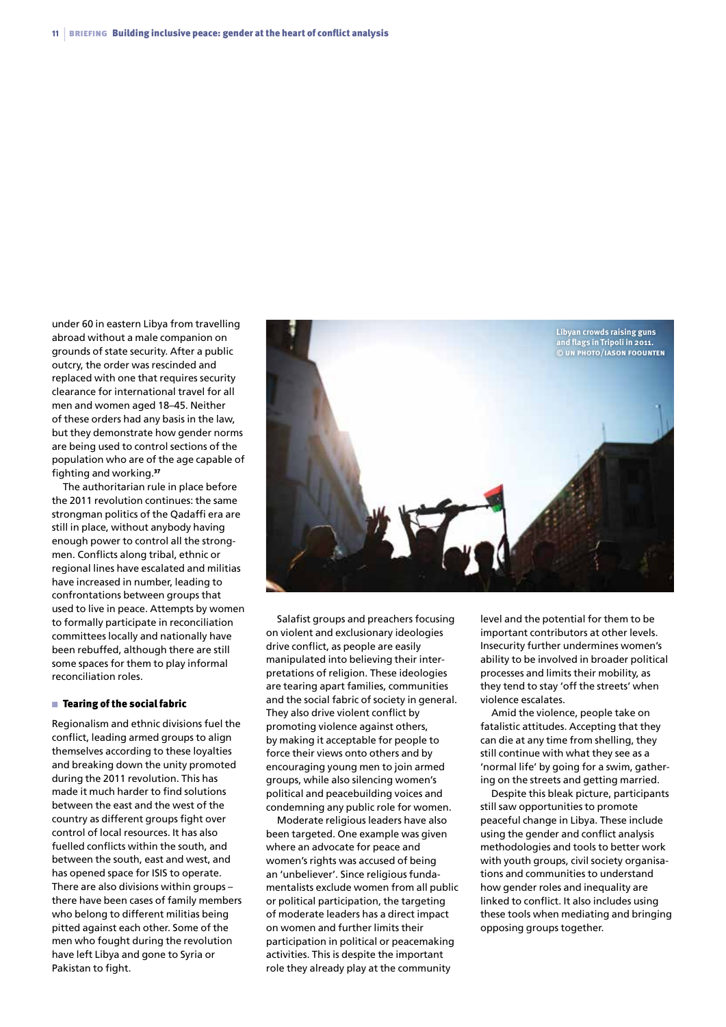under 60 in eastern Libya from travelling abroad without a male companion on grounds of state security. After a public outcry, the order was rescinded and replaced with one that requires security clearance for international travel for all men and women aged 18–45. Neither of these orders had any basis in the law, but they demonstrate how gender norms are being used to control sections of the population who are of the age capable of fighting and working.<sup>37</sup>

The authoritarian rule in place before the 2011 revolution continues: the same strongman politics of the Qadaffi era are still in place, without anybody having enough power to control all the strongmen. Conflicts along tribal, ethnic or regional lines have escalated and militias have increased in number, leading to confrontations between groups that used to live in peace. Attempts by women to formally participate in reconciliation committees locally and nationally have been rebuffed, although there are still some spaces for them to play informal reconciliation roles.

#### $\blacksquare$  Tearing of the social fabric

Regionalism and ethnic divisions fuel the conflict, leading armed groups to align themselves according to these loyalties and breaking down the unity promoted during the 2011 revolution. This has made it much harder to find solutions between the east and the west of the country as different groups fight over control of local resources. It has also fuelled conflicts within the south, and between the south, east and west, and has opened space for ISIS to operate. There are also divisions within groups – there have been cases of family members who belong to different militias being pitted against each other. Some of the men who fought during the revolution have left Libya and gone to Syria or Pakistan to fight.



Salafist groups and preachers focusing on violent and exclusionary ideologies drive conflict, as people are easily manipulated into believing their interpretations of religion. These ideologies are tearing apart families, communities and the social fabric of society in general. They also drive violent conflict by promoting violence against others, by making it acceptable for people to force their views onto others and by encouraging young men to join armed groups, while also silencing women's political and peacebuilding voices and condemning any public role for women.

Moderate religious leaders have also been targeted. One example was given where an advocate for peace and women's rights was accused of being an 'unbeliever'. Since religious fundamentalists exclude women from all public or political participation, the targeting of moderate leaders has a direct impact on women and further limits their participation in political or peacemaking activities. This is despite the important role they already play at the community

level and the potential for them to be important contributors at other levels. Insecurity further undermines women's ability to be involved in broader political processes and limits their mobility, as they tend to stay 'off the streets' when violence escalates.

Amid the violence, people take on fatalistic attitudes. Accepting that they can die at any time from shelling, they still continue with what they see as a 'normal life' by going for a swim, gathering on the streets and getting married.

Despite this bleak picture, participants still saw opportunities to promote peaceful change in Libya. These include using the gender and conflict analysis methodologies and tools to better work with youth groups, civil society organisations and communities to understand how gender roles and inequality are linked to conflict. It also includes using these tools when mediating and bringing opposing groups together.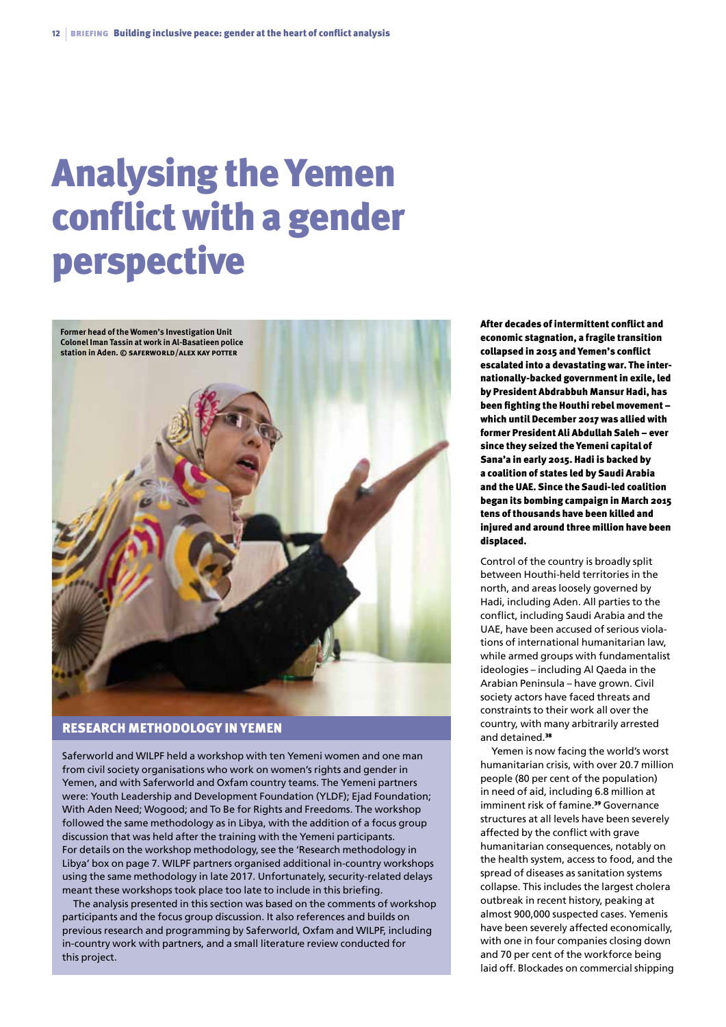## Analysing the Yemen conflict with a gender perspective



#### Research methodology in Yemen

Saferworld and WILPF held a workshop with ten Yemeni women and one man from civil society organisations who work on women's rights and gender in Yemen, and with Saferworld and Oxfam country teams. The Yemeni partners were: Youth Leadership and Development Foundation (YLDF); Ejad Foundation; With Aden Need; Wogood; and To Be for Rights and Freedoms. The workshop followed the same methodology as in Libya, with the addition of a focus group discussion that was held after the training with the Yemeni participants. For details on the workshop methodology, see the 'Research methodology in Libya' box on page 7. WILPF partners organised additional in-country workshops using the same methodology in late 2017. Unfortunately, security-related delays meant these workshops took place too late to include in this briefing.

The analysis presented in this section was based on the comments of workshop participants and the focus group discussion. It also references and builds on previous research and programming by Saferworld, Oxfam and WILPF, including in-country work with partners, and a small literature review conducted for this project.

After decades of intermittent conflict and economic stagnation, a fragile transition collapsed in 2015 and Yemen's conflict escalated into a devastating war. The internationally-backed government in exile, led by President Abdrabbuh Mansur Hadi, has been fighting the Houthi rebel movement – which until December 2017 was allied with former President Ali Abdullah Saleh – ever since they seized the Yemeni capital of Sana'a in early 2015. Hadi is backed by a coalition of states led by Saudi Arabia and the UAE. Since the Saudi-led coalition began its bombing campaign in March 2015 tens of thousands have been killed and injured and around three million have been displaced.

Control of the country is broadly split between Houthi-held territories in the north, and areas loosely governed by Hadi, including Aden. All parties to the conflict, including Saudi Arabia and the UAE, have been accused of serious violations of international humanitarian law, while armed groups with fundamentalist ideologies – including Al Qaeda in the Arabian Peninsula – have grown. Civil society actors have faced threats and constraints to their work all over the country, with many arbitrarily arrested and detained 38

Yemen is now facing the world's worst humanitarian crisis, with over 20.7 million people (80 per cent of the population) in need of aid, including 6.8 million at imminent risk of famine.<sup>39</sup> Governance structures at all levels have been severely affected by the conflict with grave humanitarian consequences, notably on the health system, access to food, and the spread of diseases as sanitation systems collapse. This includes the largest cholera outbreak in recent history, peaking at almost 900,000 suspected cases. Yemenis have been severely affected economically, with one in four companies closing down and 70 per cent of the workforce being laid off. Blockades on commercial shipping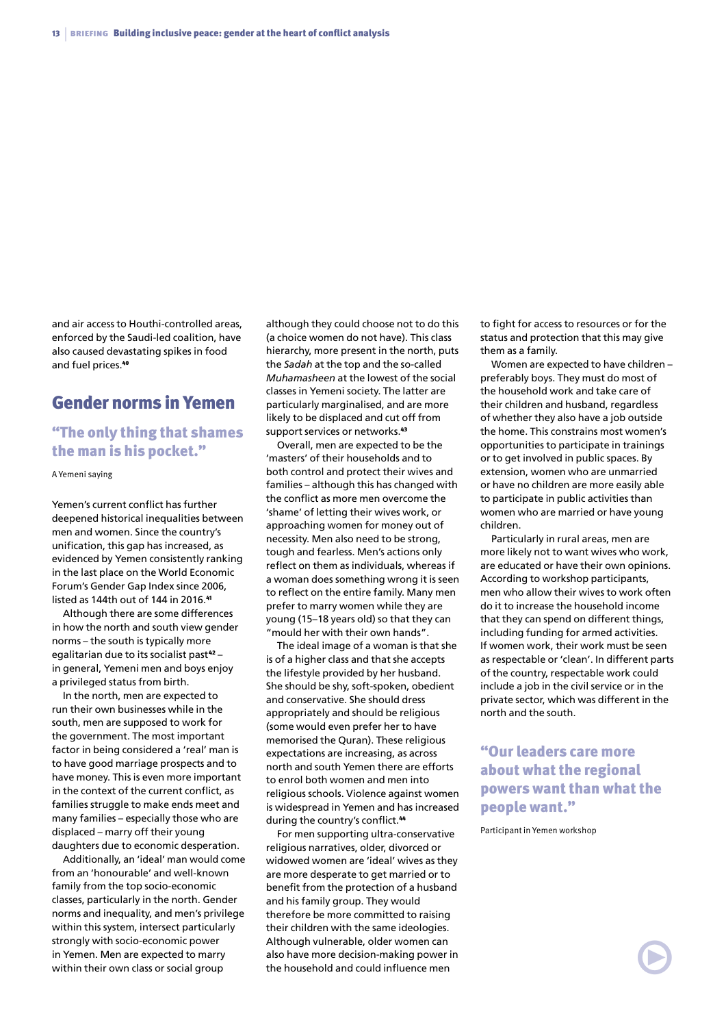and air access to Houthi-controlled areas, enforced by the Saudi-led coalition, have also caused devastating spikes in food and fuel prices.<sup>40</sup>

### Gender norms in Yemen

### "The only thing that shames the man is his pocket."

A Yemeni saying

Yemen's current conflict has further deepened historical inequalities between men and women. Since the country's unification, this gap has increased, as evidenced by Yemen consistently ranking in the last place on the World Economic Forum's Gender Gap Index since 2006, listed as 144th out of 144 in 2016.<sup>41</sup>

Although there are some differences in how the north and south view gender norms – the south is typically more egalitarian due to its socialist past<sup>42</sup>in general, Yemeni men and boys enjoy a privileged status from birth.

In the north, men are expected to run their own businesses while in the south, men are supposed to work for the government. The most important factor in being considered a 'real' man is to have good marriage prospects and to have money. This is even more important in the context of the current conflict, as families struggle to make ends meet and many families – especially those who are displaced – marry off their young daughters due to economic desperation.

Additionally, an 'ideal' man would come from an 'honourable' and well-known family from the top socio-economic classes, particularly in the north. Gender norms and inequality, and men's privilege within this system, intersect particularly strongly with socio-economic power in Yemen. Men are expected to marry within their own class or social group

although they could choose not to do this (a choice women do not have). This class hierarchy, more present in the north, puts the *Sadah* at the top and the so-called *Muhamasheen* at the lowest of the social classes in Yemeni society. The latter are particularly marginalised, and are more likely to be displaced and cut off from support services or networks.<sup>43</sup>

Overall, men are expected to be the 'masters' of their households and to both control and protect their wives and families – although this has changed with the conflict as more men overcome the 'shame' of letting their wives work, or approaching women for money out of necessity. Men also need to be strong, tough and fearless. Men's actions only reflect on them as individuals, whereas if a woman does something wrong it is seen to reflect on the entire family. Many men prefer to marry women while they are young (15–18 years old) so that they can "mould her with their own hands".

The ideal image of a woman is that she is of a higher class and that she accepts the lifestyle provided by her husband. She should be shy, soft-spoken, obedient and conservative. She should dress appropriately and should be religious (some would even prefer her to have memorised the Quran). These religious expectations are increasing, as across north and south Yemen there are efforts to enrol both women and men into religious schools. Violence against women is widespread in Yemen and has increased during the country's conflict.<sup>44</sup>

For men supporting ultra-conservative religious narratives, older, divorced or widowed women are 'ideal' wives as they are more desperate to get married or to benefit from the protection of a husband and his family group. They would therefore be more committed to raising their children with the same ideologies. Although vulnerable, older women can also have more decision-making power in the household and could influence men

to fight for access to resources or for the status and protection that this may give them as a family.

Women are expected to have children – preferably boys. They must do most of the household work and take care of their children and husband, regardless of whether they also have a job outside the home. This constrains most women's opportunities to participate in trainings or to get involved in public spaces. By extension, women who are unmarried or have no children are more easily able to participate in public activities than women who are married or have young children.

Particularly in rural areas, men are more likely not to want wives who work, are educated or have their own opinions. According to workshop participants, men who allow their wives to work often do it to increase the household income that they can spend on different things, including funding for armed activities. If women work, their work must be seen as respectable or 'clean'. In different parts of the country, respectable work could include a job in the civil service or in the private sector, which was different in the north and the south.

"Our leaders care more about what the regional powers want than what the people want."

Participant in Yemen workshop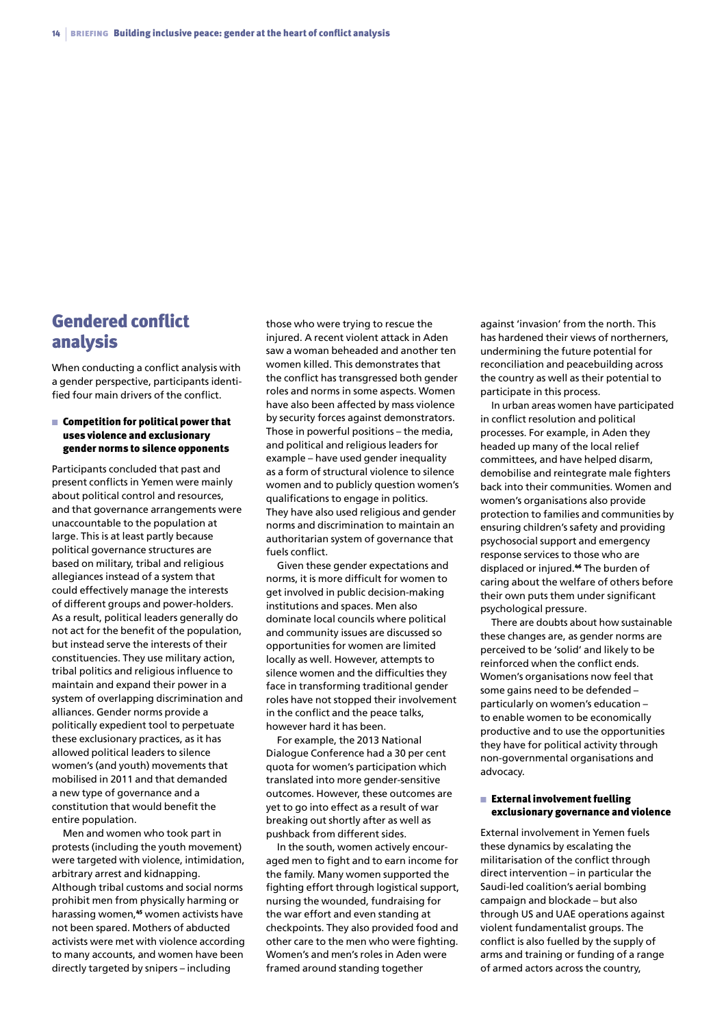## Gendered conflict analysis

When conducting a conflict analysis with a gender perspective, participants identified four main drivers of the conflict.

#### $\blacksquare$  Competition for political power that uses violence and exclusionary gender norms to silence opponents

Participants concluded that past and present conflicts in Yemen were mainly about political control and resources, and that governance arrangements were unaccountable to the population at large. This is at least partly because political governance structures are based on military, tribal and religious allegiances instead of a system that could effectively manage the interests of different groups and power-holders. As a result, political leaders generally do not act for the benefit of the population, but instead serve the interests of their constituencies. They use military action, tribal politics and religious influence to maintain and expand their power in a system of overlapping discrimination and alliances. Gender norms provide a politically expedient tool to perpetuate these exclusionary practices, as it has allowed political leaders to silence women's (and youth) movements that mobilised in 2011 and that demanded a new type of governance and a constitution that would benefit the entire population.

Men and women who took part in protests (including the youth movement) were targeted with violence, intimidation, arbitrary arrest and kidnapping. Although tribal customs and social norms prohibit men from physically harming or harassing women,<sup>45</sup> women activists have not been spared. Mothers of abducted activists were met with violence according to many accounts, and women have been directly targeted by snipers – including

those who were trying to rescue the injured. A recent violent attack in Aden saw a woman beheaded and another ten women killed. This demonstrates that the conflict has transgressed both gender roles and norms in some aspects. Women have also been affected by mass violence by security forces against demonstrators. Those in powerful positions – the media, and political and religious leaders for example – have used gender inequality as a form of structural violence to silence women and to publicly question women's qualifications to engage in politics. They have also used religious and gender norms and discrimination to maintain an authoritarian system of governance that fuels conflict.

Given these gender expectations and norms, it is more difficult for women to get involved in public decision-making institutions and spaces. Men also dominate local councils where political and community issues are discussed so opportunities for women are limited locally as well. However, attempts to silence women and the difficulties they face in transforming traditional gender roles have not stopped their involvement in the conflict and the peace talks, however hard it has been.

For example, the 2013 National Dialogue Conference had a 30 per cent quota for women's participation which translated into more gender-sensitive outcomes. However, these outcomes are yet to go into effect as a result of war breaking out shortly after as well as pushback from different sides.

In the south, women actively encouraged men to fight and to earn income for the family. Many women supported the fighting effort through logistical support, nursing the wounded, fundraising for the war effort and even standing at checkpoints. They also provided food and other care to the men who were fighting. Women's and men's roles in Aden were framed around standing together

against 'invasion' from the north. This has hardened their views of northerners, undermining the future potential for reconciliation and peacebuilding across the country as well as their potential to participate in this process.

In urban areas women have participated in conflict resolution and political processes. For example, in Aden they headed up many of the local relief committees, and have helped disarm, demobilise and reintegrate male fighters back into their communities. Women and women's organisations also provide protection to families and communities by ensuring children's safety and providing psychosocial support and emergency response services to those who are displaced or injured.<sup>46</sup> The burden of caring about the welfare of others before their own puts them under significant psychological pressure.

There are doubts about how sustainable these changes are, as gender norms are perceived to be 'solid' and likely to be reinforced when the conflict ends. Women's organisations now feel that some gains need to be defended – particularly on women's education – to enable women to be economically productive and to use the opportunities they have for political activity through non-governmental organisations and advocacy.

#### $\blacksquare$  External involvement fuelling exclusionary governance and violence

External involvement in Yemen fuels these dynamics by escalating the militarisation of the conflict through direct intervention – in particular the Saudi-led coalition's aerial bombing campaign and blockade – but also through US and UAE operations against violent fundamentalist groups. The conflict is also fuelled by the supply of arms and training or funding of a range of armed actors across the country,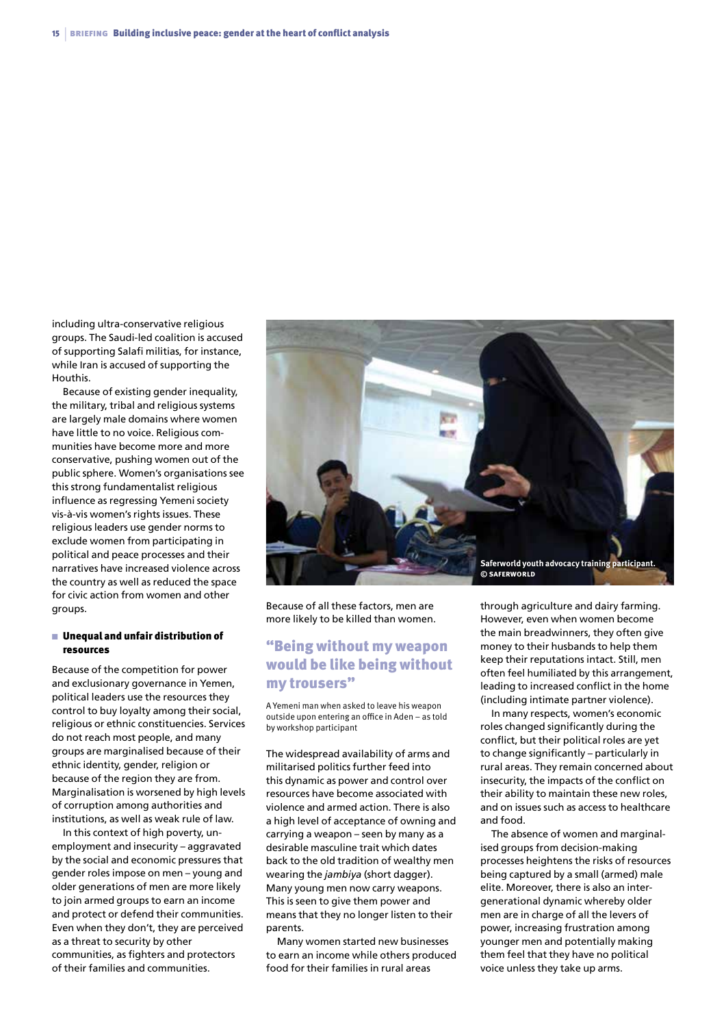including ultra-conservative religious groups. The Saudi-led coalition is accused of supporting Salafi militias, for instance, while Iran is accused of supporting the Houthis.

Because of existing gender inequality, the military, tribal and religious systems are largely male domains where women have little to no voice. Religious communities have become more and more conservative, pushing women out of the public sphere. Women's organisations see this strong fundamentalist religious influence as regressing Yemeni society vis-à-vis women's rights issues. These religious leaders use gender norms to exclude women from participating in political and peace processes and their narratives have increased violence across the country as well as reduced the space for civic action from women and other groups.

#### $\blacksquare$  Unequal and unfair distribution of resources

Because of the competition for power and exclusionary governance in Yemen, political leaders use the resources they control to buy loyalty among their social, religious or ethnic constituencies. Services do not reach most people, and many groups are marginalised because of their ethnic identity, gender, religion or because of the region they are from. Marginalisation is worsened by high levels of corruption among authorities and institutions, as well as weak rule of law.

In this context of high poverty, unemployment and insecurity – aggravated by the social and economic pressures that gender roles impose on men – young and older generations of men are more likely to join armed groups to earn an income and protect or defend their communities. Even when they don't, they are perceived as a threat to security by other communities, as fighters and protectors of their families and communities.



Because of all these factors, men are more likely to be killed than women.

### "Being without my weapon would be like being without my trousers"

A Yemeni man when asked to leave his weapon outside upon entering an office in Aden – as told by workshop participant

The widespread availability of arms and militarised politics further feed into this dynamic as power and control over resources have become associated with violence and armed action. There is also a high level of acceptance of owning and carrying a weapon – seen by many as a desirable masculine trait which dates back to the old tradition of wealthy men wearing the *jambiya* (short dagger). Many young men now carry weapons. This is seen to give them power and means that they no longer listen to their parents.

Many women started new businesses to earn an income while others produced food for their families in rural areas

through agriculture and dairy farming. However, even when women become the main breadwinners, they often give money to their husbands to help them keep their reputations intact. Still, men often feel humiliated by this arrangement, leading to increased conflict in the home (including intimate partner violence).

In many respects, women's economic roles changed significantly during the conflict, but their political roles are yet to change significantly – particularly in rural areas. They remain concerned about insecurity, the impacts of the conflict on their ability to maintain these new roles, and on issues such as access to healthcare and food.

The absence of women and marginalised groups from decision-making processes heightens the risks of resources being captured by a small (armed) male elite. Moreover, there is also an intergenerational dynamic whereby older men are in charge of all the levers of power, increasing frustration among younger men and potentially making them feel that they have no political voice unless they take up arms.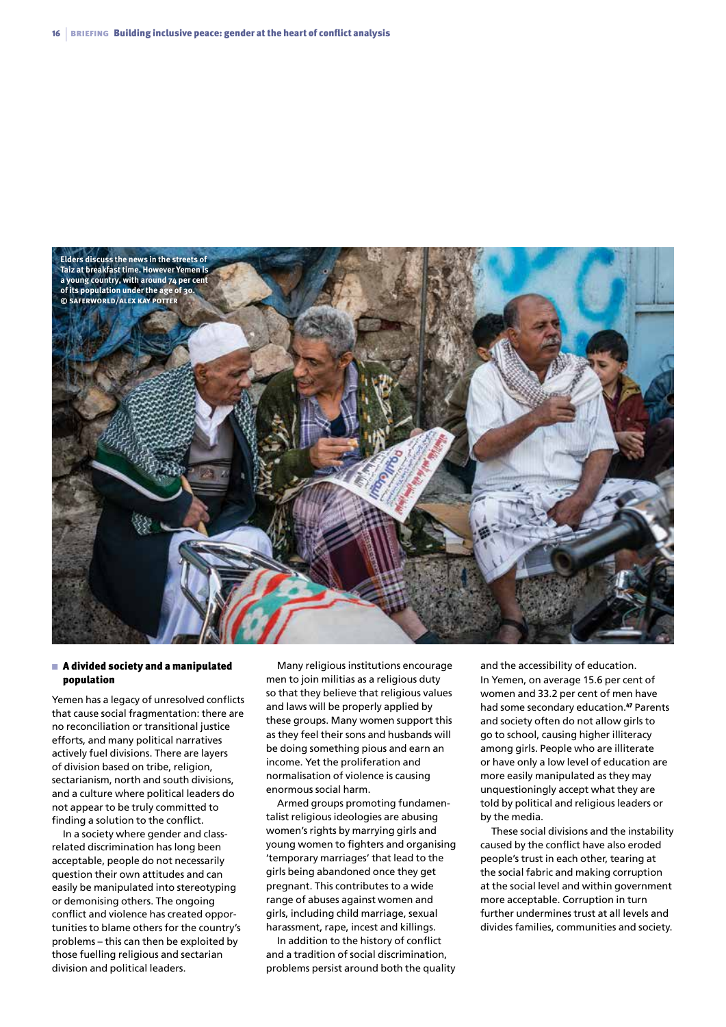

#### $\blacksquare$  A divided society and a manipulated population

Yemen has a legacy of unresolved conflicts that cause social fragmentation: there are no reconciliation or transitional justice efforts, and many political narratives actively fuel divisions. There are layers of division based on tribe, religion, sectarianism, north and south divisions, and a culture where political leaders do not appear to be truly committed to finding a solution to the conflict.

In a society where gender and classrelated discrimination has long been acceptable, people do not necessarily question their own attitudes and can easily be manipulated into stereotyping or demonising others. The ongoing conflict and violence has created opportunities to blame others for the country's problems – this can then be exploited by those fuelling religious and sectarian division and political leaders.

Many religious institutions encourage men to join militias as a religious duty so that they believe that religious values and laws will be properly applied by these groups. Many women support this as they feel their sons and husbands will be doing something pious and earn an income. Yet the proliferation and normalisation of violence is causing enormous social harm.

Armed groups promoting fundamentalist religious ideologies are abusing women's rights by marrying girls and young women to fighters and organising 'temporary marriages' that lead to the girls being abandoned once they get pregnant. This contributes to a wide range of abuses against women and girls, including child marriage, sexual harassment, rape, incest and killings.

In addition to the history of conflict and a tradition of social discrimination, problems persist around both the quality

and the accessibility of education. In Yemen, on average 15.6 per cent of women and 33.2 per cent of men have had some secondary education.47 Parents and society often do not allow girls to go to school, causing higher illiteracy among girls. People who are illiterate or have only a low level of education are more easily manipulated as they may unquestioningly accept what they are told by political and religious leaders or by the media.

These social divisions and the instability caused by the conflict have also eroded people's trust in each other, tearing at the social fabric and making corruption at the social level and within government more acceptable. Corruption in turn further undermines trust at all levels and divides families, communities and society.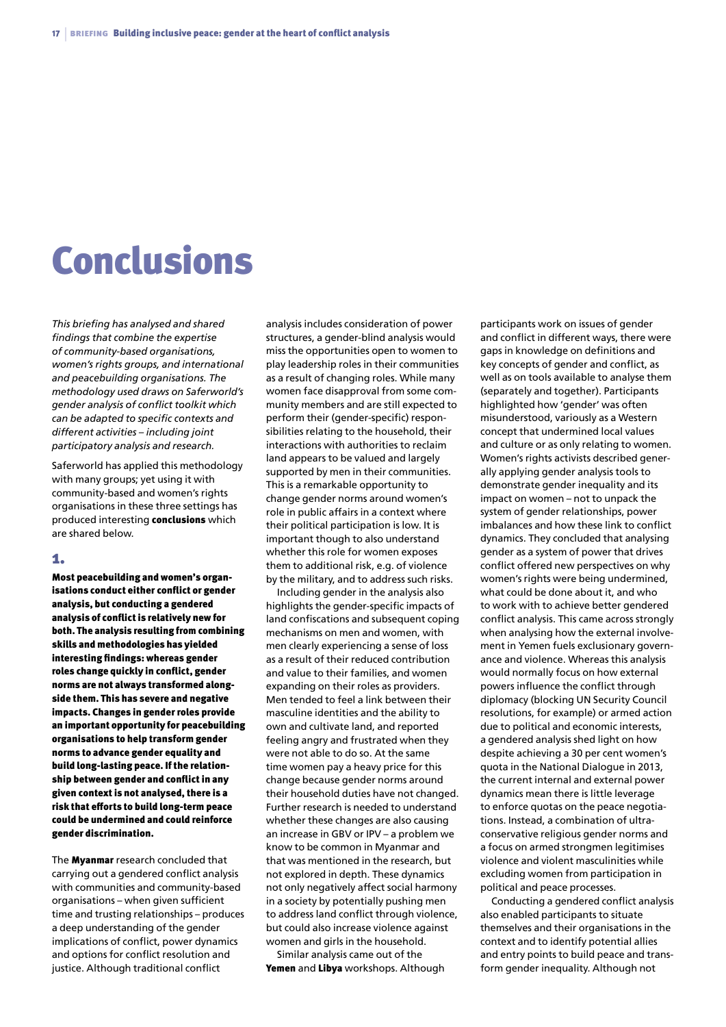## **Conclusions**

*This briefing has analysed and shared findings that combine the expertise of community-based organisations, women's rights groups, and international and peacebuilding organisations. The methodology used draws on Saferworld's gender analysis of conflict toolkit which can be adapted to specific contexts and different activities – including joint participatory analysis and research.*

Saferworld has applied this methodology with many groups; yet using it with community-based and women's rights organisations in these three settings has produced interesting conclusions which are shared below.

#### 1.

Most peacebuilding and women's organisations conduct either conflict or gender analysis, but conducting a gendered analysis of conflict is relatively new for both. The analysis resulting from combining skills and methodologies has yielded interesting findings: whereas gender roles change quickly in conflict, gender norms are not always transformed alongside them. This has severe and negative impacts. Changes in gender roles provide an important opportunity for peacebuilding organisations to help transform gender norms to advance gender equality and build long-lasting peace. If the relationship between gender and conflict in any given context is not analysed, there is a risk that efforts to build long-term peace could be undermined and could reinforce gender discrimination.

The **Myanmar** research concluded that carrying out a gendered conflict analysis with communities and community-based organisations – when given sufficient time and trusting relationships – produces a deep understanding of the gender implications of conflict, power dynamics and options for conflict resolution and justice. Although traditional conflict

analysis includes consideration of power structures, a gender-blind analysis would miss the opportunities open to women to play leadership roles in their communities as a result of changing roles. While many women face disapproval from some community members and are still expected to perform their (gender-specific) responsibilities relating to the household, their interactions with authorities to reclaim land appears to be valued and largely supported by men in their communities. This is a remarkable opportunity to change gender norms around women's role in public affairs in a context where their political participation is low. It is important though to also understand whether this role for women exposes them to additional risk, e.g. of violence by the military, and to address such risks.

Including gender in the analysis also highlights the gender-specific impacts of land confiscations and subsequent coping mechanisms on men and women, with men clearly experiencing a sense of loss as a result of their reduced contribution and value to their families, and women expanding on their roles as providers. Men tended to feel a link between their masculine identities and the ability to own and cultivate land, and reported feeling angry and frustrated when they were not able to do so. At the same time women pay a heavy price for this change because gender norms around their household duties have not changed. Further research is needed to understand whether these changes are also causing an increase in GBV or IPV – a problem we know to be common in Myanmar and that was mentioned in the research, but not explored in depth. These dynamics not only negatively affect social harmony in a society by potentially pushing men to address land conflict through violence, but could also increase violence against women and girls in the household.

Similar analysis came out of the Yemen and Libya workshops. Although

participants work on issues of gender and conflict in different ways, there were gaps in knowledge on definitions and key concepts of gender and conflict, as well as on tools available to analyse them (separately and together). Participants highlighted how 'gender' was often misunderstood, variously as a Western concept that undermined local values and culture or as only relating to women. Women's rights activists described generally applying gender analysis tools to demonstrate gender inequality and its impact on women – not to unpack the system of gender relationships, power imbalances and how these link to conflict dynamics. They concluded that analysing gender as a system of power that drives conflict offered new perspectives on why women's rights were being undermined, what could be done about it, and who to work with to achieve better gendered conflict analysis. This came across strongly when analysing how the external involvement in Yemen fuels exclusionary governance and violence. Whereas this analysis would normally focus on how external powers influence the conflict through diplomacy (blocking UN Security Council resolutions, for example) or armed action due to political and economic interests, a gendered analysis shed light on how despite achieving a 30 per cent women's quota in the National Dialogue in 2013, the current internal and external power dynamics mean there is little leverage to enforce quotas on the peace negotiations. Instead, a combination of ultraconservative religious gender norms and a focus on armed strongmen legitimises violence and violent masculinities while excluding women from participation in political and peace processes.

Conducting a gendered conflict analysis also enabled participants to situate themselves and their organisations in the context and to identify potential allies and entry points to build peace and transform gender inequality. Although not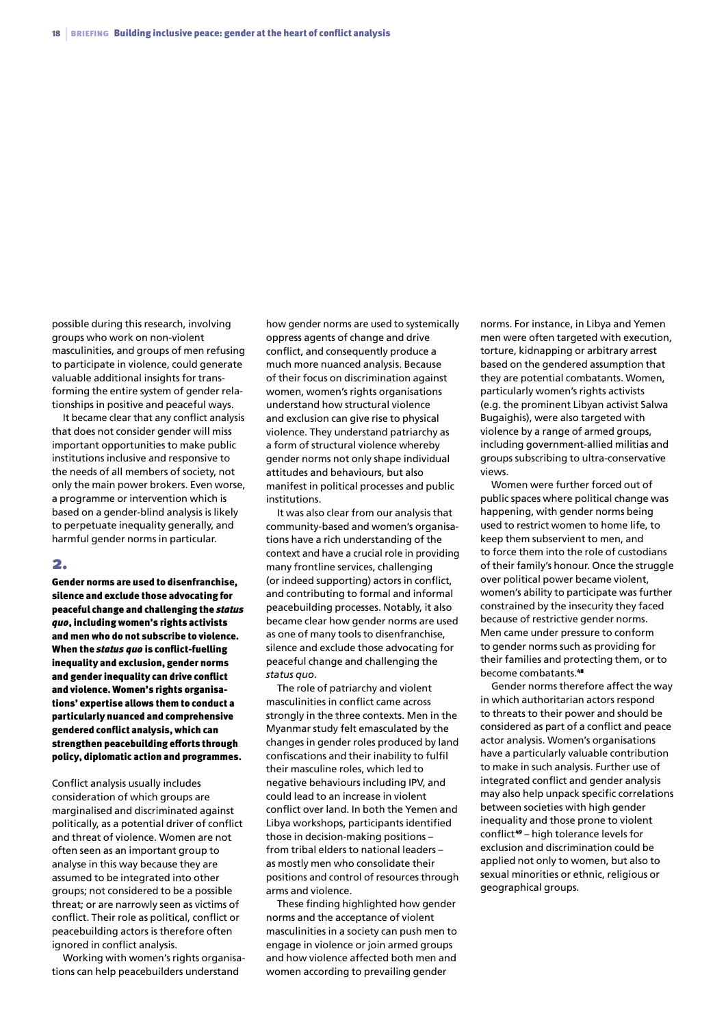possible during this research, involving groups who work on non-violent masculinities, and groups of men refusing to participate in violence, could generate valuable additional insights for transforming the entire system of gender relationships in positive and peaceful ways.

It became clear that any conflict analysis that does not consider gender will miss important opportunities to make public institutions inclusive and responsive to the needs of all members of society, not only the main power brokers. Even worse, a programme or intervention which is based on a gender-blind analysis is likely to perpetuate inequality generally, and harmful gender norms in particular.

#### 2.

Gender norms are used to disenfranchise, silence and exclude those advocating for peaceful change and challenging the *status quo*, including women's rights activists and men who do not subscribe to violence. When the *status quo* is conflict-fuelling inequality and exclusion, gender norms and gender inequality can drive conflict and violence. Women's rights organisations' expertise allows them to conduct a particularly nuanced and comprehensive gendered conflict analysis, which can strengthen peacebuilding efforts through policy, diplomatic action and programmes.

Conflict analysis usually includes consideration of which groups are marginalised and discriminated against politically, as a potential driver of conflict and threat of violence. Women are not often seen as an important group to analyse in this way because they are assumed to be integrated into other groups; not considered to be a possible threat; or are narrowly seen as victims of conflict. Their role as political, conflict or peacebuilding actors is therefore often ignored in conflict analysis.

Working with women's rights organisations can help peacebuilders understand

how gender norms are used to systemically oppress agents of change and drive conflict, and consequently produce a much more nuanced analysis. Because of their focus on discrimination against women, women's rights organisations understand how structural violence and exclusion can give rise to physical violence. They understand patriarchy as a form of structural violence whereby gender norms not only shape individual attitudes and behaviours, but also manifest in political processes and public institutions.

It was also clear from our analysis that community-based and women's organisations have a rich understanding of the context and have a crucial role in providing many frontline services, challenging (or indeed supporting) actors in conflict, and contributing to formal and informal peacebuilding processes. Notably, it also became clear how gender norms are used as one of many tools to disenfranchise, silence and exclude those advocating for peaceful change and challenging the *status quo*.

The role of patriarchy and violent masculinities in conflict came across strongly in the three contexts. Men in the Myanmar study felt emasculated by the changes in gender roles produced by land confiscations and their inability to fulfil their masculine roles, which led to negative behaviours including IPV, and could lead to an increase in violent conflict over land. In both the Yemen and Libya workshops, participants identified those in decision-making positions – from tribal elders to national leaders – as mostly men who consolidate their positions and control of resources through arms and violence.

These finding highlighted how gender norms and the acceptance of violent masculinities in a society can push men to engage in violence or join armed groups and how violence affected both men and women according to prevailing gender

norms. For instance, in Libya and Yemen men were often targeted with execution, torture, kidnapping or arbitrary arrest based on the gendered assumption that they are potential combatants. Women, particularly women's rights activists (e.g. the prominent Libyan activist Salwa Bugaighis), were also targeted with violence by a range of armed groups, including government-allied militias and groups subscribing to ultra-conservative views.

Women were further forced out of public spaces where political change was happening, with gender norms being used to restrict women to home life, to keep them subservient to men, and to force them into the role of custodians of their family's honour. Once the struggle over political power became violent, women's ability to participate was further constrained by the insecurity they faced because of restrictive gender norms. Men came under pressure to conform to gender norms such as providing for their families and protecting them, or to become combatants.<sup>48</sup>

Gender norms therefore affect the way in which authoritarian actors respond to threats to their power and should be considered as part of a conflict and peace actor analysis. Women's organisations have a particularly valuable contribution to make in such analysis. Further use of integrated conflict and gender analysis may also help unpack specific correlations between societies with high gender inequality and those prone to violent conflict<sup>49</sup> – high tolerance levels for exclusion and discrimination could be applied not only to women, but also to sexual minorities or ethnic, religious or geographical groups.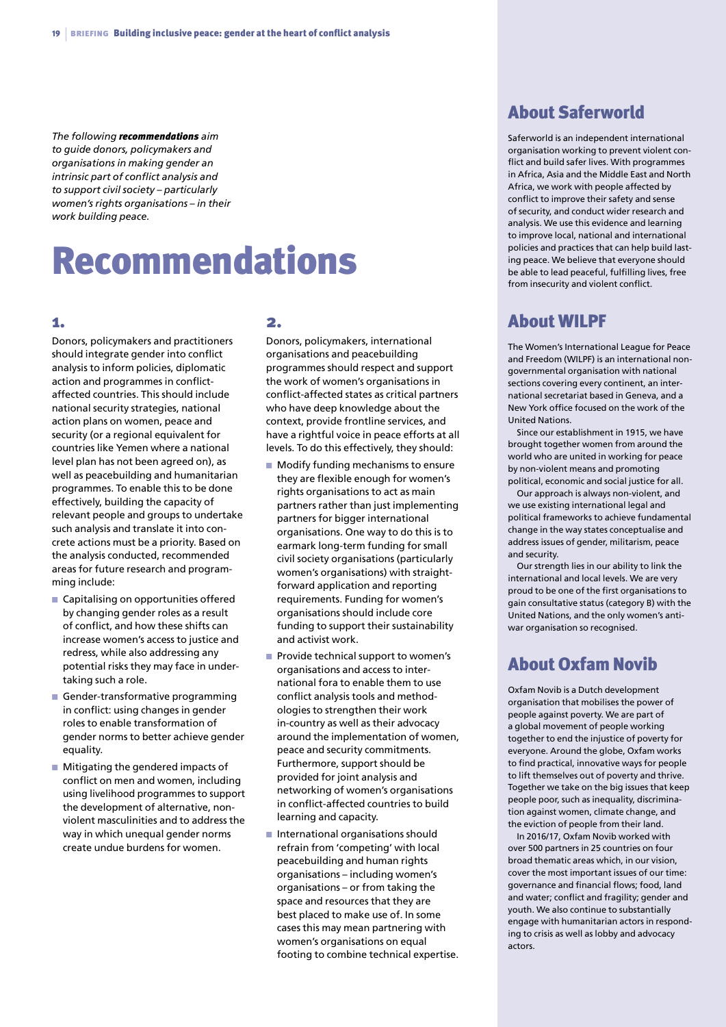*The following recommendations aim to guide donors, policymakers and organisations in making gender an intrinsic part of conflict analysis and to support civil society – particularly women's rights organisations – in their work building peace.*

## Recommendations

#### 1.

Donors, policymakers and practitioners should integrate gender into conflict analysis to inform policies, diplomatic action and programmes in conflictaffected countries. This should include national security strategies, national action plans on women, peace and security (or a regional equivalent for countries like Yemen where a national level plan has not been agreed on), as well as peacebuilding and humanitarian programmes. To enable this to be done effectively, building the capacity of relevant people and groups to undertake such analysis and translate it into concrete actions must be a priority. Based on the analysis conducted, recommended areas for future research and programming include:

- $\blacksquare$  Capitalising on opportunities offered by changing gender roles as a result of conflict, and how these shifts can increase women's access to justice and redress, while also addressing any potential risks they may face in undertaking such a role.
- Gender-transformative programming in conflict: using changes in gender roles to enable transformation of gender norms to better achieve gender equality.
- $\blacksquare$  Mitigating the gendered impacts of conflict on men and women, including using livelihood programmes to support the development of alternative, nonviolent masculinities and to address the way in which unequal gender norms create undue burdens for women.

#### 2.

Donors, policymakers, international organisations and peacebuilding programmes should respect and support the work of women's organisations in conflict-affected states as critical partners who have deep knowledge about the context, provide frontline services, and have a rightful voice in peace efforts at all levels. To do this effectively, they should:

- n Modify funding mechanisms to ensure they are flexible enough for women's rights organisations to act as main partners rather than just implementing partners for bigger international organisations. One way to do this is to earmark long-term funding for small civil society organisations (particularly women's organisations) with straightforward application and reporting requirements. Funding for women's organisations should include core funding to support their sustainability and activist work.
- Provide technical support to women's organisations and access to international fora to enable them to use conflict analysis tools and methodologies to strengthen their work in-country as well as their advocacy around the implementation of women, peace and security commitments. Furthermore, support should be provided for joint analysis and networking of women's organisations in conflict-affected countries to build learning and capacity.
- $\blacksquare$  International organisations should refrain from 'competing' with local peacebuilding and human rights organisations – including women's organisations – or from taking the space and resources that they are best placed to make use of. In some cases this may mean partnering with women's organisations on equal footing to combine technical expertise.

## About Saferworld

Saferworld is an independent international organisation working to prevent violent conflict and build safer lives. With programmes in Africa, Asia and the Middle East and North Africa, we work with people affected by conflict to improve their safety and sense of security, and conduct wider research and analysis. We use this evidence and learning to improve local, national and international policies and practices that can help build lasting peace. We believe that everyone should be able to lead peaceful, fulfilling lives, free from insecurity and violent conflict.

### About WILPF

The Women's International League for Peace and Freedom (WILPF) is an international nongovernmental organisation with national sections covering every continent, an international secretariat based in Geneva, and a New York office focused on the work of the United Nations.

Since our establishment in 1915, we have brought together women from around the world who are united in working for peace by non-violent means and promoting political, economic and social justice for all.

Our approach is always non-violent, and we use existing international legal and political frameworks to achieve fundamental change in the way states conceptualise and address issues of gender, militarism, peace and security.

Our strength lies in our ability to link the international and local levels. We are very proud to be one of the first organisations to gain consultative status (category B) with the United Nations, and the only women's antiwar organisation so recognised.

## About Oxfam Novib

Oxfam Novib is a Dutch development organisation that mobilises the power of people against poverty. We are part of a global movement of people working together to end the injustice of poverty for everyone. Around the globe, Oxfam works to find practical, innovative ways for people to lift themselves out of poverty and thrive. Together we take on the big issues that keep people poor, such as inequality, discrimination against women, climate change, and the eviction of people from their land.

In 2016/17, Oxfam Novib worked with over 500 partners in 25 countries on four broad thematic areas which, in our vision, cover the most important issues of our time: governance and financial flows; food, land and water; conflict and fragility; gender and youth. We also continue to substantially engage with humanitarian actors in responding to crisis as well as lobby and advocacy actors.